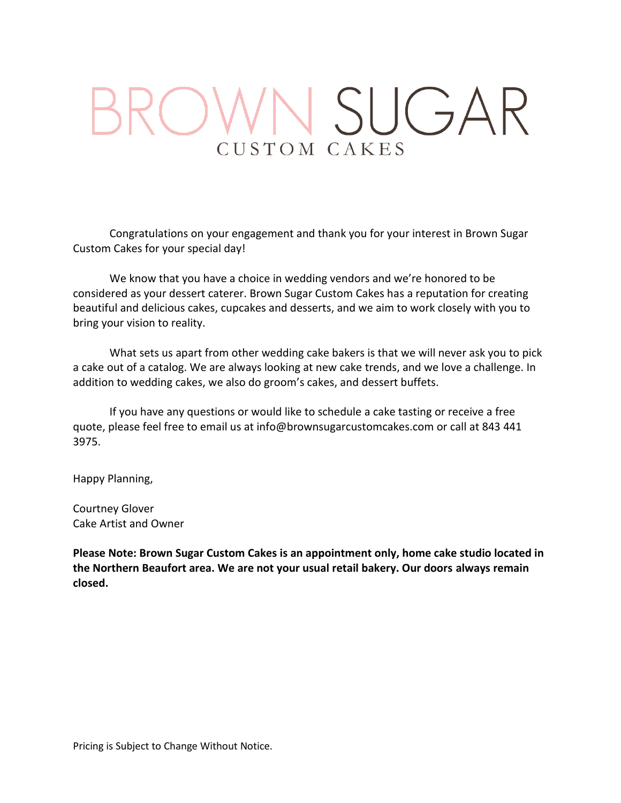# SUGAR CUSTOM CAKES

Congratulations on your engagement and thank you for your interest in Brown Sugar Custom Cakes for your special day!

We know that you have a choice in wedding vendors and we're honored to be considered as your dessert caterer. Brown Sugar Custom Cakes has a reputation for creating beautiful and delicious cakes, cupcakes and desserts, and we aim to work closely with you to bring your vision to reality.

What sets us apart from other wedding cake bakers is that we will never ask you to pick a cake out of a catalog. We are always looking at new cake trends, and we love a challenge. In addition to wedding cakes, we also do groom's cakes, and dessert buffets.

If you have any questions or would like to schedule a cake tasting or receive a free quote, please feel free to email us at info@brownsugarcustomcakes.com or call at 843 441 3975.

Happy Planning,

Courtney Glover Cake Artist and Owner

**Please Note: Brown Sugar Custom Cakes is an appointment only, home cake studio located in the Northern Beaufort area. We are not your usual retail bakery. Our doors always remain closed.**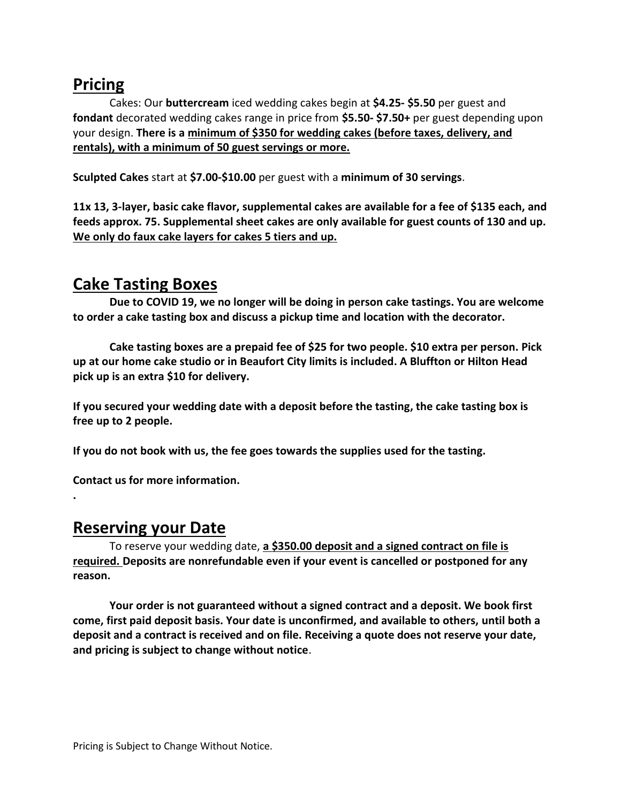#### **Pricing**

Cakes: Our **buttercream** iced wedding cakes begin at **\$4.25- \$5.50** per guest and **fondant** decorated wedding cakes range in price from **\$5.50- \$7.50+** per guest depending upon your design. **There is a minimum of \$350 for wedding cakes (before taxes, delivery, and rentals), with a minimum of 50 guest servings or more.** 

**Sculpted Cakes** start at **\$7.00-\$10.00** per guest with a **minimum of 30 servings**.

**11x 13, 3-layer, basic cake flavor, supplemental cakes are available for a fee of \$135 each, and feeds approx. 75. Supplemental sheet cakes are only available for guest counts of 130 and up. We only do faux cake layers for cakes 5 tiers and up.**

#### **Cake Tasting Boxes**

**Due to COVID 19, we no longer will be doing in person cake tastings. You are welcome to order a cake tasting box and discuss a pickup time and location with the decorator.** 

**Cake tasting boxes are a prepaid fee of \$25 for two people. \$10 extra per person. Pick up at our home cake studio or in Beaufort City limits is included. A Bluffton or Hilton Head pick up is an extra \$10 for delivery.**

**If you secured your wedding date with a deposit before the tasting, the cake tasting box is free up to 2 people.** 

**If you do not book with us, the fee goes towards the supplies used for the tasting.** 

**Contact us for more information.** 

#### **Reserving your Date**

**.**

To reserve your wedding date, **a \$350.00 deposit and a signed contract on file is required. Deposits are nonrefundable even if your event is cancelled or postponed for any reason.** 

**Your order is not guaranteed without a signed contract and a deposit. We book first come, first paid deposit basis. Your date is unconfirmed, and available to others, until both a deposit and a contract is received and on file. Receiving a quote does not reserve your date, and pricing is subject to change without notice**.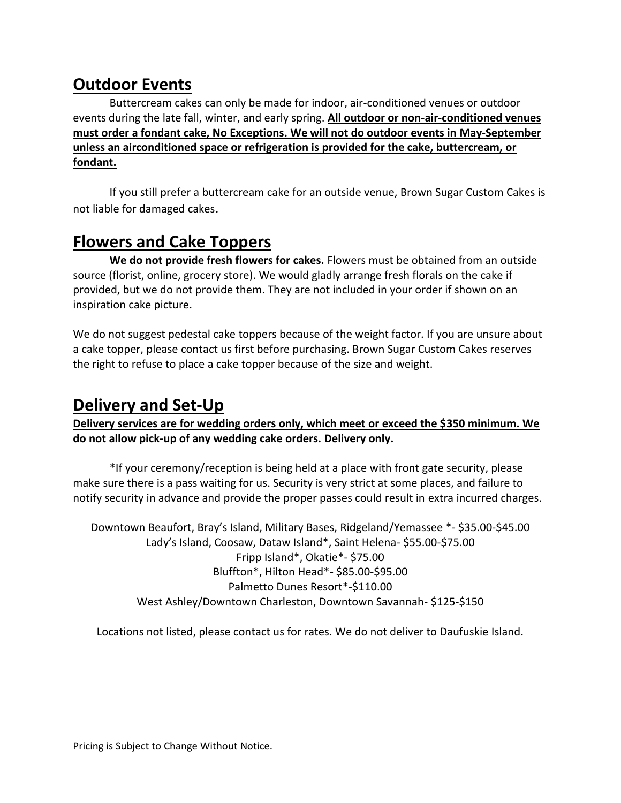# **Outdoor Events**

Buttercream cakes can only be made for indoor, air-conditioned venues or outdoor events during the late fall, winter, and early spring. **All outdoor or non-air-conditioned venues must order a fondant cake, No Exceptions. We will not do outdoor events in May-September unless an airconditioned space or refrigeration is provided for the cake, buttercream, or fondant.** 

If you still prefer a buttercream cake for an outside venue, Brown Sugar Custom Cakes is not liable for damaged cakes.

# **Flowers and Cake Toppers**

**We do not provide fresh flowers for cakes.** Flowers must be obtained from an outside source (florist, online, grocery store). We would gladly arrange fresh florals on the cake if provided, but we do not provide them. They are not included in your order if shown on an inspiration cake picture.

We do not suggest pedestal cake toppers because of the weight factor. If you are unsure about a cake topper, please contact us first before purchasing. Brown Sugar Custom Cakes reserves the right to refuse to place a cake topper because of the size and weight.

## **Delivery and Set-Up**

**Delivery services are for wedding orders only, which meet or exceed the \$350 minimum. We do not allow pick-up of any wedding cake orders. Delivery only.** 

\*If your ceremony/reception is being held at a place with front gate security, please make sure there is a pass waiting for us. Security is very strict at some places, and failure to notify security in advance and provide the proper passes could result in extra incurred charges.

Downtown Beaufort, Bray's Island, Military Bases, Ridgeland/Yemassee \*- \$35.00-\$45.00 Lady's Island, Coosaw, Dataw Island\*, Saint Helena- \$55.00-\$75.00 Fripp Island\*, Okatie\*- \$75.00 Bluffton\*, Hilton Head\*- \$85.00-\$95.00 Palmetto Dunes Resort\*-\$110.00 West Ashley/Downtown Charleston, Downtown Savannah- \$125-\$150

Locations not listed, please contact us for rates. We do not deliver to Daufuskie Island.